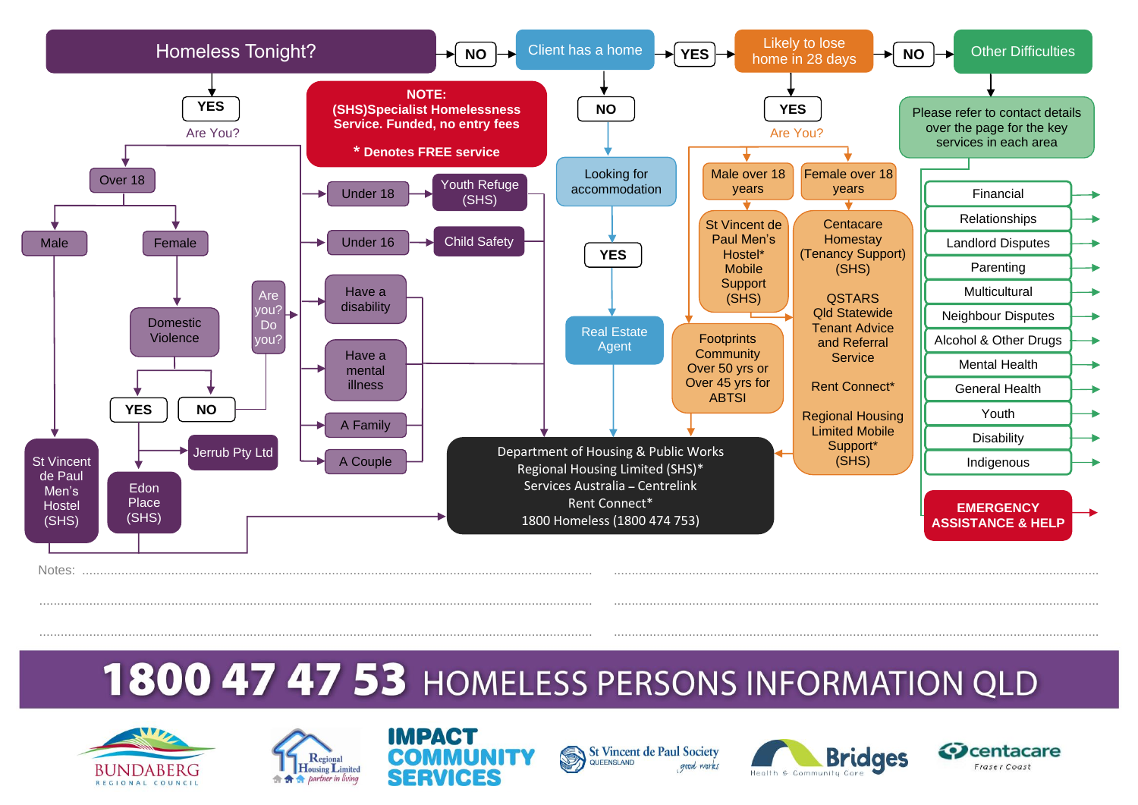

# 1800 47 47 53 HOMELESS PERSONS INFORMATION QLD